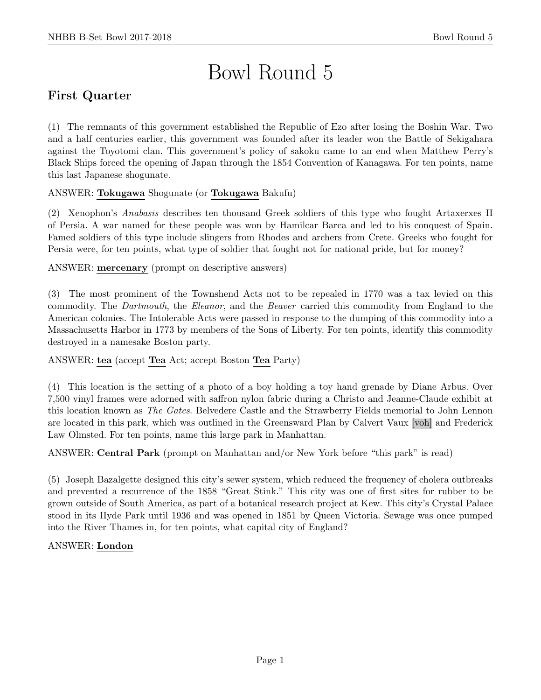# Bowl Round 5

# First Quarter

(1) The remnants of this government established the Republic of Ezo after losing the Boshin War. Two and a half centuries earlier, this government was founded after its leader won the Battle of Sekigahara against the Toyotomi clan. This government's policy of sakoku came to an end when Matthew Perry's Black Ships forced the opening of Japan through the 1854 Convention of Kanagawa. For ten points, name this last Japanese shogunate.

## ANSWER: Tokugawa Shogunate (or Tokugawa Bakufu)

(2) Xenophon's Anabasis describes ten thousand Greek soldiers of this type who fought Artaxerxes II of Persia. A war named for these people was won by Hamilcar Barca and led to his conquest of Spain. Famed soldiers of this type include slingers from Rhodes and archers from Crete. Greeks who fought for Persia were, for ten points, what type of soldier that fought not for national pride, but for money?

ANSWER: mercenary (prompt on descriptive answers)

(3) The most prominent of the Townshend Acts not to be repealed in 1770 was a tax levied on this commodity. The Dartmouth, the Eleanor, and the Beaver carried this commodity from England to the American colonies. The Intolerable Acts were passed in response to the dumping of this commodity into a Massachusetts Harbor in 1773 by members of the Sons of Liberty. For ten points, identify this commodity destroyed in a namesake Boston party.

ANSWER: tea (accept Tea Act; accept Boston Tea Party)

(4) This location is the setting of a photo of a boy holding a toy hand grenade by Diane Arbus. Over 7,500 vinyl frames were adorned with saffron nylon fabric during a Christo and Jeanne-Claude exhibit at this location known as The Gates. Belvedere Castle and the Strawberry Fields memorial to John Lennon are located in this park, which was outlined in the Greensward Plan by Calvert Vaux [voh] and Frederick Law Olmsted. For ten points, name this large park in Manhattan.

ANSWER: Central Park (prompt on Manhattan and/or New York before "this park" is read)

(5) Joseph Bazalgette designed this city's sewer system, which reduced the frequency of cholera outbreaks and prevented a recurrence of the 1858 "Great Stink." This city was one of first sites for rubber to be grown outside of South America, as part of a botanical research project at Kew. This city's Crystal Palace stood in its Hyde Park until 1936 and was opened in 1851 by Queen Victoria. Sewage was once pumped into the River Thames in, for ten points, what capital city of England?

## ANSWER: London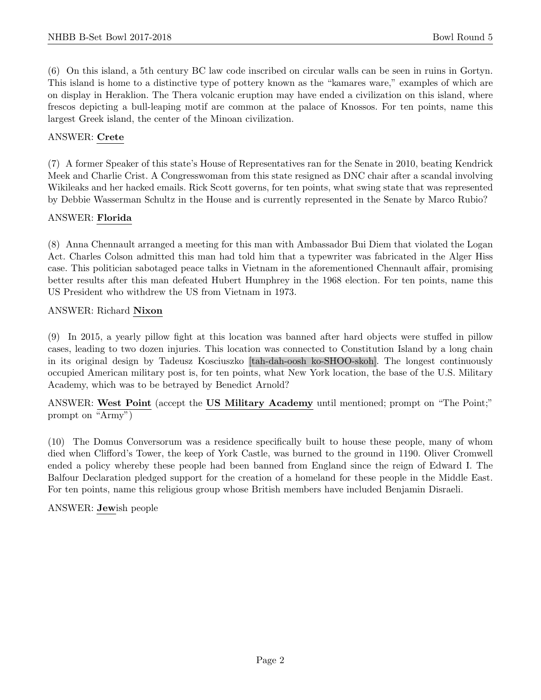(6) On this island, a 5th century BC law code inscribed on circular walls can be seen in ruins in Gortyn. This island is home to a distinctive type of pottery known as the "kamares ware," examples of which are on display in Heraklion. The Thera volcanic eruption may have ended a civilization on this island, where frescos depicting a bull-leaping motif are common at the palace of Knossos. For ten points, name this largest Greek island, the center of the Minoan civilization.

## ANSWER: Crete

(7) A former Speaker of this state's House of Representatives ran for the Senate in 2010, beating Kendrick Meek and Charlie Crist. A Congresswoman from this state resigned as DNC chair after a scandal involving Wikileaks and her hacked emails. Rick Scott governs, for ten points, what swing state that was represented by Debbie Wasserman Schultz in the House and is currently represented in the Senate by Marco Rubio?

## ANSWER: Florida

(8) Anna Chennault arranged a meeting for this man with Ambassador Bui Diem that violated the Logan Act. Charles Colson admitted this man had told him that a typewriter was fabricated in the Alger Hiss case. This politician sabotaged peace talks in Vietnam in the aforementioned Chennault affair, promising better results after this man defeated Hubert Humphrey in the 1968 election. For ten points, name this US President who withdrew the US from Vietnam in 1973.

## ANSWER: Richard Nixon

(9) In 2015, a yearly pillow fight at this location was banned after hard objects were stuffed in pillow cases, leading to two dozen injuries. This location was connected to Constitution Island by a long chain in its original design by Tadeusz Kosciuszko [tah-dah-oosh ko-SHOO-skoh]. The longest continuously occupied American military post is, for ten points, what New York location, the base of the U.S. Military Academy, which was to be betrayed by Benedict Arnold?

ANSWER: West Point (accept the US Military Academy until mentioned; prompt on "The Point;" prompt on "Army")

(10) The Domus Conversorum was a residence specifically built to house these people, many of whom died when Clifford's Tower, the keep of York Castle, was burned to the ground in 1190. Oliver Cromwell ended a policy whereby these people had been banned from England since the reign of Edward I. The Balfour Declaration pledged support for the creation of a homeland for these people in the Middle East. For ten points, name this religious group whose British members have included Benjamin Disraeli.

## ANSWER: Jewish people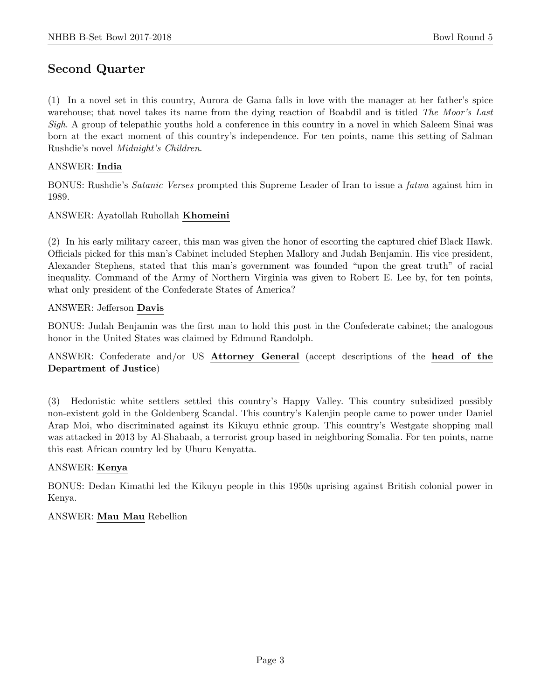## Second Quarter

(1) In a novel set in this country, Aurora de Gama falls in love with the manager at her father's spice warehouse; that novel takes its name from the dying reaction of Boabdil and is titled The Moor's Last Sigh. A group of telepathic youths hold a conference in this country in a novel in which Saleem Sinai was born at the exact moment of this country's independence. For ten points, name this setting of Salman Rushdie's novel Midnight's Children.

## ANSWER: India

BONUS: Rushdie's Satanic Verses prompted this Supreme Leader of Iran to issue a fatwa against him in 1989.

## ANSWER: Ayatollah Ruhollah Khomeini

(2) In his early military career, this man was given the honor of escorting the captured chief Black Hawk. Officials picked for this man's Cabinet included Stephen Mallory and Judah Benjamin. His vice president, Alexander Stephens, stated that this man's government was founded "upon the great truth" of racial inequality. Command of the Army of Northern Virginia was given to Robert E. Lee by, for ten points, what only president of the Confederate States of America?

#### ANSWER: Jefferson Davis

BONUS: Judah Benjamin was the first man to hold this post in the Confederate cabinet; the analogous honor in the United States was claimed by Edmund Randolph.

## ANSWER: Confederate and/or US Attorney General (accept descriptions of the head of the Department of Justice)

(3) Hedonistic white settlers settled this country's Happy Valley. This country subsidized possibly non-existent gold in the Goldenberg Scandal. This country's Kalenjin people came to power under Daniel Arap Moi, who discriminated against its Kikuyu ethnic group. This country's Westgate shopping mall was attacked in 2013 by Al-Shabaab, a terrorist group based in neighboring Somalia. For ten points, name this east African country led by Uhuru Kenyatta.

#### ANSWER: Kenya

BONUS: Dedan Kimathi led the Kikuyu people in this 1950s uprising against British colonial power in Kenya.

## ANSWER: Mau Mau Rebellion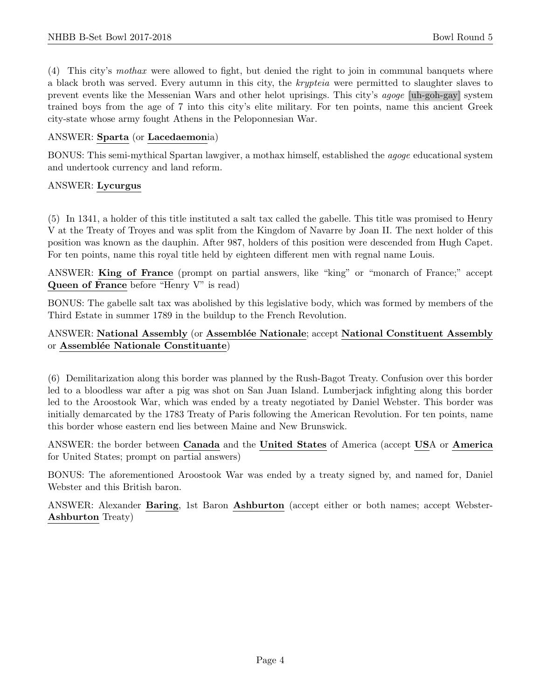(4) This city's mothax were allowed to fight, but denied the right to join in communal banquets where a black broth was served. Every autumn in this city, the krypteia were permitted to slaughter slaves to prevent events like the Messenian Wars and other helot uprisings. This city's agoge [uh-goh-gay] system trained boys from the age of 7 into this city's elite military. For ten points, name this ancient Greek city-state whose army fought Athens in the Peloponnesian War.

## ANSWER: Sparta (or Lacedaemonia)

BONUS: This semi-mythical Spartan lawgiver, a mothax himself, established the agoge educational system and undertook currency and land reform.

## ANSWER: Lycurgus

(5) In 1341, a holder of this title instituted a salt tax called the gabelle. This title was promised to Henry V at the Treaty of Troyes and was split from the Kingdom of Navarre by Joan II. The next holder of this position was known as the dauphin. After 987, holders of this position were descended from Hugh Capet. For ten points, name this royal title held by eighteen different men with regnal name Louis.

ANSWER: King of France (prompt on partial answers, like "king" or "monarch of France;" accept Queen of France before "Henry V" is read)

BONUS: The gabelle salt tax was abolished by this legislative body, which was formed by members of the Third Estate in summer 1789 in the buildup to the French Revolution.

## ANSWER: National Assembly (or Assemblée Nationale; accept National Constituent Assembly or Assemblée Nationale Constituante)

(6) Demilitarization along this border was planned by the Rush-Bagot Treaty. Confusion over this border led to a bloodless war after a pig was shot on San Juan Island. Lumberjack infighting along this border led to the Aroostook War, which was ended by a treaty negotiated by Daniel Webster. This border was initially demarcated by the 1783 Treaty of Paris following the American Revolution. For ten points, name this border whose eastern end lies between Maine and New Brunswick.

ANSWER: the border between Canada and the United States of America (accept USA or America for United States; prompt on partial answers)

BONUS: The aforementioned Aroostook War was ended by a treaty signed by, and named for, Daniel Webster and this British baron.

ANSWER: Alexander Baring, 1st Baron Ashburton (accept either or both names; accept Webster-Ashburton Treaty)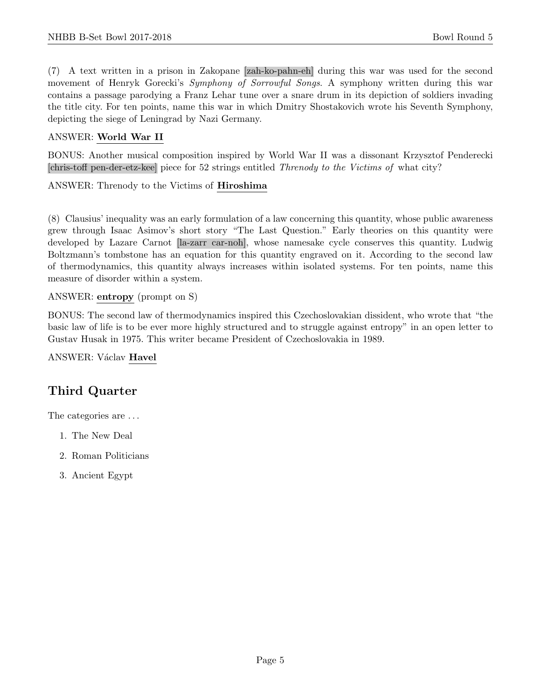(7) A text written in a prison in Zakopane [zah-ko-pahn-eh] during this war was used for the second movement of Henryk Gorecki's Symphony of Sorrowful Songs. A symphony written during this war contains a passage parodying a Franz Lehar tune over a snare drum in its depiction of soldiers invading the title city. For ten points, name this war in which Dmitry Shostakovich wrote his Seventh Symphony, depicting the siege of Leningrad by Nazi Germany.

#### ANSWER: World War II

BONUS: Another musical composition inspired by World War II was a dissonant Krzysztof Penderecki [chris-toff pen-der-etz-kee] piece for 52 strings entitled Threnody to the Victims of what city?

ANSWER: Threnody to the Victims of Hiroshima

(8) Clausius' inequality was an early formulation of a law concerning this quantity, whose public awareness grew through Isaac Asimov's short story "The Last Question." Early theories on this quantity were developed by Lazare Carnot [la-zarr car-noh], whose namesake cycle conserves this quantity. Ludwig Boltzmann's tombstone has an equation for this quantity engraved on it. According to the second law of thermodynamics, this quantity always increases within isolated systems. For ten points, name this measure of disorder within a system.

ANSWER: entropy (prompt on S)

BONUS: The second law of thermodynamics inspired this Czechoslovakian dissident, who wrote that "the basic law of life is to be ever more highly structured and to struggle against entropy" in an open letter to Gustav Husak in 1975. This writer became President of Czechoslovakia in 1989.

ANSWER: Václav Havel

# Third Quarter

The categories are  $\dots$ 

- 1. The New Deal
- 2. Roman Politicians
- 3. Ancient Egypt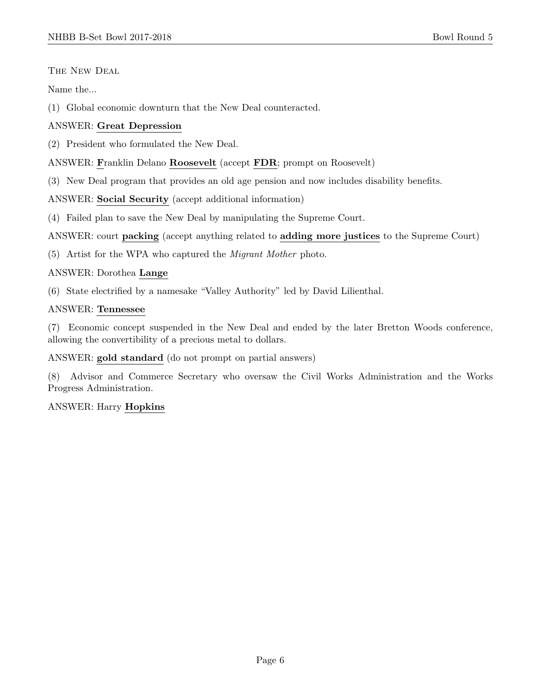## THE NEW DEAL

Name the...

(1) Global economic downturn that the New Deal counteracted.

## ANSWER: Great Depression

(2) President who formulated the New Deal.

## ANSWER: Franklin Delano Roosevelt (accept FDR; prompt on Roosevelt)

(3) New Deal program that provides an old age pension and now includes disability benefits.

ANSWER: Social Security (accept additional information)

(4) Failed plan to save the New Deal by manipulating the Supreme Court.

ANSWER: court packing (accept anything related to adding more justices to the Supreme Court)

(5) Artist for the WPA who captured the Migrant Mother photo.

## ANSWER: Dorothea Lange

(6) State electrified by a namesake "Valley Authority" led by David Lilienthal.

## ANSWER: Tennessee

(7) Economic concept suspended in the New Deal and ended by the later Bretton Woods conference, allowing the convertibility of a precious metal to dollars.

ANSWER: gold standard (do not prompt on partial answers)

(8) Advisor and Commerce Secretary who oversaw the Civil Works Administration and the Works Progress Administration.

## ANSWER: Harry Hopkins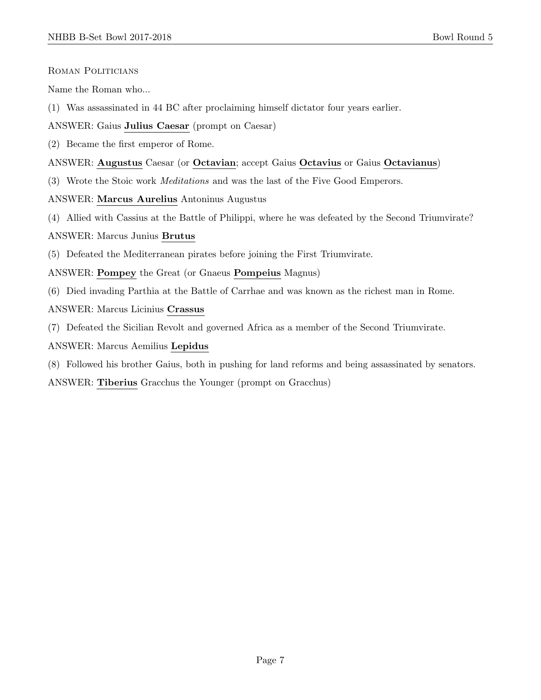Roman Politicians

Name the Roman who...

(1) Was assassinated in 44 BC after proclaiming himself dictator four years earlier.

ANSWER: Gaius Julius Caesar (prompt on Caesar)

(2) Became the first emperor of Rome.

#### ANSWER: Augustus Caesar (or Octavian; accept Gaius Octavius or Gaius Octavianus)

- (3) Wrote the Stoic work Meditations and was the last of the Five Good Emperors.
- ANSWER: Marcus Aurelius Antoninus Augustus
- (4) Allied with Cassius at the Battle of Philippi, where he was defeated by the Second Triumvirate?

#### ANSWER: Marcus Junius Brutus

(5) Defeated the Mediterranean pirates before joining the First Triumvirate.

ANSWER: Pompey the Great (or Gnaeus Pompeius Magnus)

- (6) Died invading Parthia at the Battle of Carrhae and was known as the richest man in Rome.
- ANSWER: Marcus Licinius Crassus
- (7) Defeated the Sicilian Revolt and governed Africa as a member of the Second Triumvirate.

ANSWER: Marcus Aemilius Lepidus

(8) Followed his brother Gaius, both in pushing for land reforms and being assassinated by senators.

ANSWER: Tiberius Gracchus the Younger (prompt on Gracchus)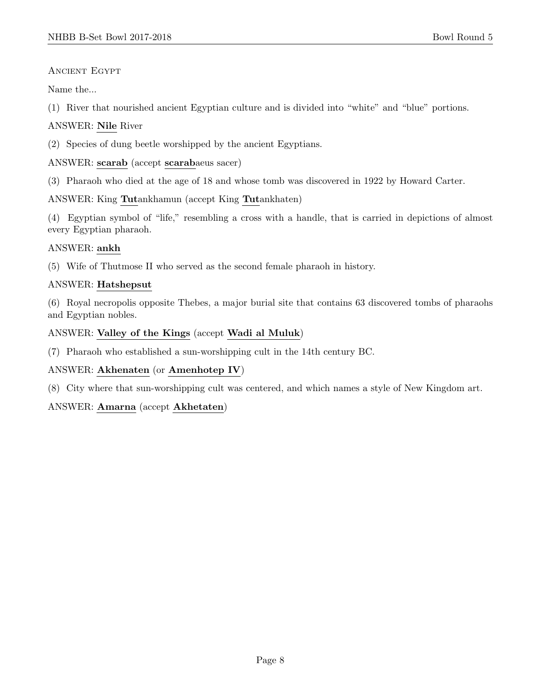## Ancient Egypt

Name the...

(1) River that nourished ancient Egyptian culture and is divided into "white" and "blue" portions.

## ANSWER: Nile River

(2) Species of dung beetle worshipped by the ancient Egyptians.

## ANSWER: scarab (accept scarabaeus sacer)

(3) Pharaoh who died at the age of 18 and whose tomb was discovered in 1922 by Howard Carter.

## ANSWER: King Tutankhamun (accept King Tutankhaten)

(4) Egyptian symbol of "life," resembling a cross with a handle, that is carried in depictions of almost every Egyptian pharaoh.

## ANSWER: ankh

(5) Wife of Thutmose II who served as the second female pharaoh in history.

## ANSWER: Hatshepsut

(6) Royal necropolis opposite Thebes, a major burial site that contains 63 discovered tombs of pharaohs and Egyptian nobles.

## ANSWER: Valley of the Kings (accept Wadi al Muluk)

(7) Pharaoh who established a sun-worshipping cult in the 14th century BC.

## ANSWER: Akhenaten (or Amenhotep IV)

(8) City where that sun-worshipping cult was centered, and which names a style of New Kingdom art.

## ANSWER: Amarna (accept Akhetaten)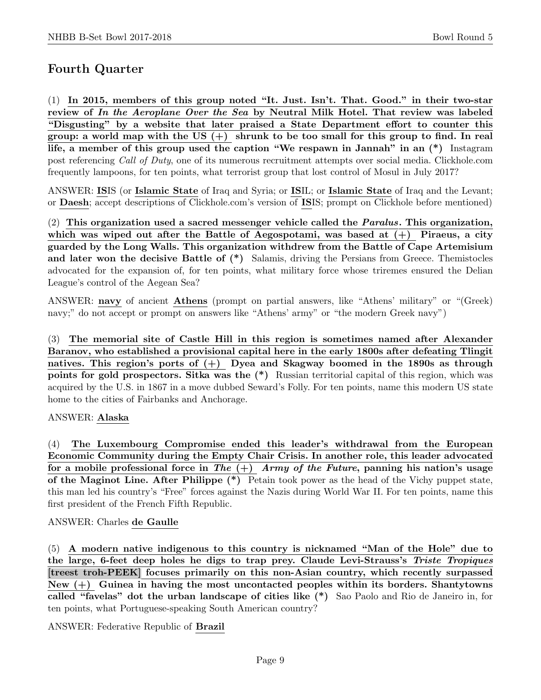# Fourth Quarter

(1) In 2015, members of this group noted "It. Just. Isn't. That. Good." in their two-star review of In the Aeroplane Over the Sea by Neutral Milk Hotel. That review was labeled "Disgusting" by a website that later praised a State Department effort to counter this group: a world map with the US  $(+)$  shrunk to be too small for this group to find. In real life, a member of this group used the caption "We respawn in Jannah" in an (\*) Instagram post referencing Call of Duty, one of its numerous recruitment attempts over social media. Clickhole.com frequently lampoons, for ten points, what terrorist group that lost control of Mosul in July 2017?

ANSWER: ISIS (or Islamic State of Iraq and Syria; or ISIL; or Islamic State of Iraq and the Levant; or Daesh; accept descriptions of Clickhole.com's version of ISIS; prompt on Clickhole before mentioned)

(2) This organization used a sacred messenger vehicle called the  $Paralus$ . This organization, which was wiped out after the Battle of Aegospotami, was based at  $(+)$  Piraeus, a city guarded by the Long Walls. This organization withdrew from the Battle of Cape Artemisium and later won the decisive Battle of  $(*)$  Salamis, driving the Persians from Greece. Themistocles advocated for the expansion of, for ten points, what military force whose triremes ensured the Delian League's control of the Aegean Sea?

ANSWER: navy of ancient Athens (prompt on partial answers, like "Athens' military" or "(Greek) navy;" do not accept or prompt on answers like "Athens' army" or "the modern Greek navy")

(3) The memorial site of Castle Hill in this region is sometimes named after Alexander Baranov, who established a provisional capital here in the early 1800s after defeating Tlingit natives. This region's ports of  $(+)$  Dyea and Skagway boomed in the 1890s as through points for gold prospectors. Sitka was the (\*) Russian territorial capital of this region, which was acquired by the U.S. in 1867 in a move dubbed Seward's Folly. For ten points, name this modern US state home to the cities of Fairbanks and Anchorage.

## ANSWER: Alaska

(4) The Luxembourg Compromise ended this leader's withdrawal from the European Economic Community during the Empty Chair Crisis. In another role, this leader advocated for a mobile professional force in The  $(+)$  Army of the Future, panning his nation's usage of the Maginot Line. After Philippe (\*) Petain took power as the head of the Vichy puppet state, this man led his country's "Free" forces against the Nazis during World War II. For ten points, name this first president of the French Fifth Republic.

#### ANSWER: Charles de Gaulle

(5) A modern native indigenous to this country is nicknamed "Man of the Hole" due to the large, 6-feet deep holes he digs to trap prey. Claude Levi-Strauss's Triste Tropiques [treest troh-PEEK] focuses primarily on this non-Asian country, which recently surpassed New  $(+)$  Guinea in having the most uncontacted peoples within its borders. Shantytowns called "favelas" dot the urban landscape of cities like (\*) Sao Paolo and Rio de Janeiro in, for ten points, what Portuguese-speaking South American country?

ANSWER: Federative Republic of Brazil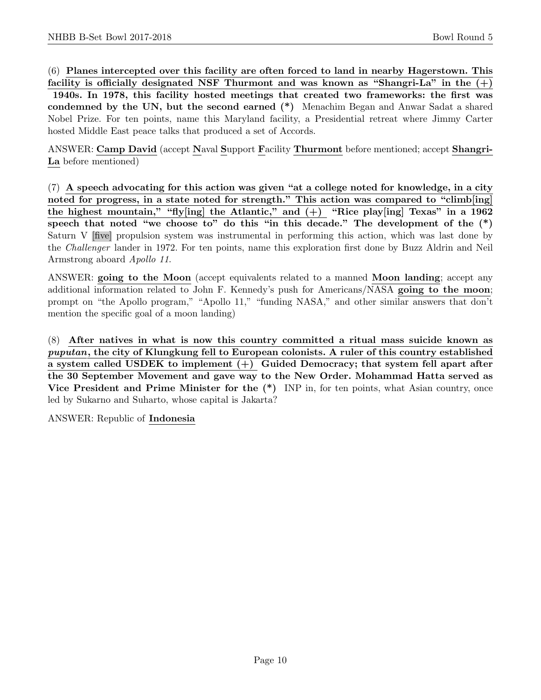(6) Planes intercepted over this facility are often forced to land in nearby Hagerstown. This

facility is officially designated NSF Thurmont and was known as "Shangri-La" in the  $(+)$ 1940s. In 1978, this facility hosted meetings that created two frameworks: the first was condemned by the UN, but the second earned (\*) Menachim Began and Anwar Sadat a shared Nobel Prize. For ten points, name this Maryland facility, a Presidential retreat where Jimmy Carter hosted Middle East peace talks that produced a set of Accords.

ANSWER: Camp David (accept Naval Support Facility Thurmont before mentioned; accept Shangri-La before mentioned)

(7) A speech advocating for this action was given "at a college noted for knowledge, in a city noted for progress, in a state noted for strength." This action was compared to "climb[ing] the highest mountain," "fly[ing] the Atlantic," and  $(+)$  "Rice play[ing] Texas" in a 1962 speech that noted "we choose to" do this "in this decade." The development of the  $(*)$ Saturn V [five] propulsion system was instrumental in performing this action, which was last done by the Challenger lander in 1972. For ten points, name this exploration first done by Buzz Aldrin and Neil Armstrong aboard Apollo 11.

ANSWER: going to the Moon (accept equivalents related to a manned Moon landing; accept any additional information related to John F. Kennedy's push for Americans/NASA going to the moon; prompt on "the Apollo program," "Apollo 11," "funding NASA," and other similar answers that don't mention the specific goal of a moon landing)

(8) After natives in what is now this country committed a ritual mass suicide known as puputan, the city of Klungkung fell to European colonists. A ruler of this country established a system called USDEK to implement  $(+)$  Guided Democracy; that system fell apart after the 30 September Movement and gave way to the New Order. Mohammad Hatta served as Vice President and Prime Minister for the (\*) INP in, for ten points, what Asian country, once led by Sukarno and Suharto, whose capital is Jakarta?

ANSWER: Republic of Indonesia